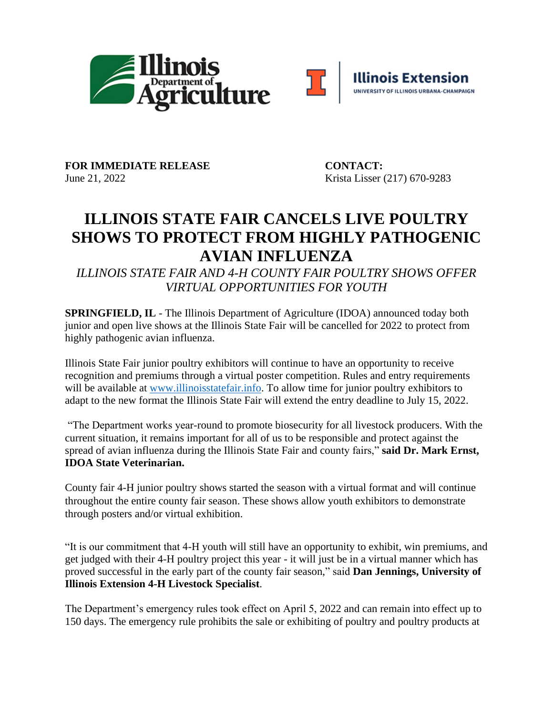



FOR IMMEDIATE RELEASE CONTACT: June 21, 2022 Krista Lisser (217) 670-9283

## **ILLINOIS STATE FAIR CANCELS LIVE POULTRY SHOWS TO PROTECT FROM HIGHLY PATHOGENIC AVIAN INFLUENZA**

*ILLINOIS STATE FAIR AND 4-H COUNTY FAIR POULTRY SHOWS OFFER VIRTUAL OPPORTUNITIES FOR YOUTH*

**SPRINGFIELD, IL** - The Illinois Department of Agriculture (IDOA) announced today both junior and open live shows at the Illinois State Fair will be cancelled for 2022 to protect from highly pathogenic avian influenza.

Illinois State Fair junior poultry exhibitors will continue to have an opportunity to receive recognition and premiums through a virtual poster competition. Rules and entry requirements will be available at [www.illinoisstatefair.info.](http://www.illinoisstatefair.info/) To allow time for junior poultry exhibitors to adapt to the new format the Illinois State Fair will extend the entry deadline to July 15, 2022.

"The Department works year-round to promote biosecurity for all livestock producers. With the current situation, it remains important for all of us to be responsible and protect against the spread of avian influenza during the Illinois State Fair and county fairs," **said Dr. Mark Ernst, IDOA State Veterinarian.**

County fair 4-H junior poultry shows started the season with a virtual format and will continue throughout the entire county fair season. These shows allow youth exhibitors to demonstrate through posters and/or virtual exhibition.

"It is our commitment that 4-H youth will still have an opportunity to exhibit, win premiums, and get judged with their 4-H poultry project this year - it will just be in a virtual manner which has proved successful in the early part of the county fair season," said **Dan Jennings, University of Illinois Extension 4-H Livestock Specialist**.

The Department's emergency rules took effect on April 5, 2022 and can remain into effect up to 150 days. The emergency rule prohibits the sale or exhibiting of poultry and poultry products at